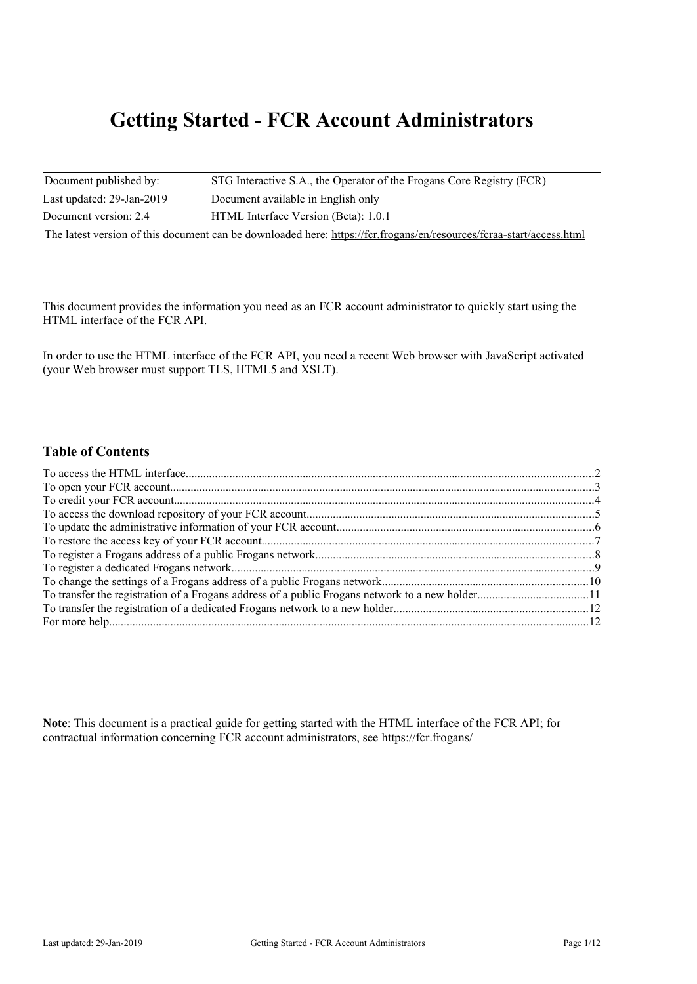# **Getting Started - FCR Account Administrators**

| Document published by:          | STG Interactive S.A., the Operator of the Frogans Core Registry (FCR)                                                |
|---------------------------------|----------------------------------------------------------------------------------------------------------------------|
| Last updated: $29$ -Jan- $2019$ | Document available in English only                                                                                   |
| Document version: 2.4           | HTML Interface Version (Beta): 1.0.1                                                                                 |
|                                 | The latest version of this document can be downloaded here: https://fcr.frogans/en/resources/fcraa-start/access.html |

This document provides the information you need as an FCR account administrator to quickly start using the HTML interface of the FCR API.

In order to use the HTML interface of the FCR API, you need a recent Web browser with JavaScript activated (your Web browser must support TLS, HTML5 and XSLT).

### **Table of Contents**

**Note**: This document is a practical guide for getting started with the HTML interface of the FCR API; for contractual information concerning FCR account administrators, see<https://fcr.frogans/>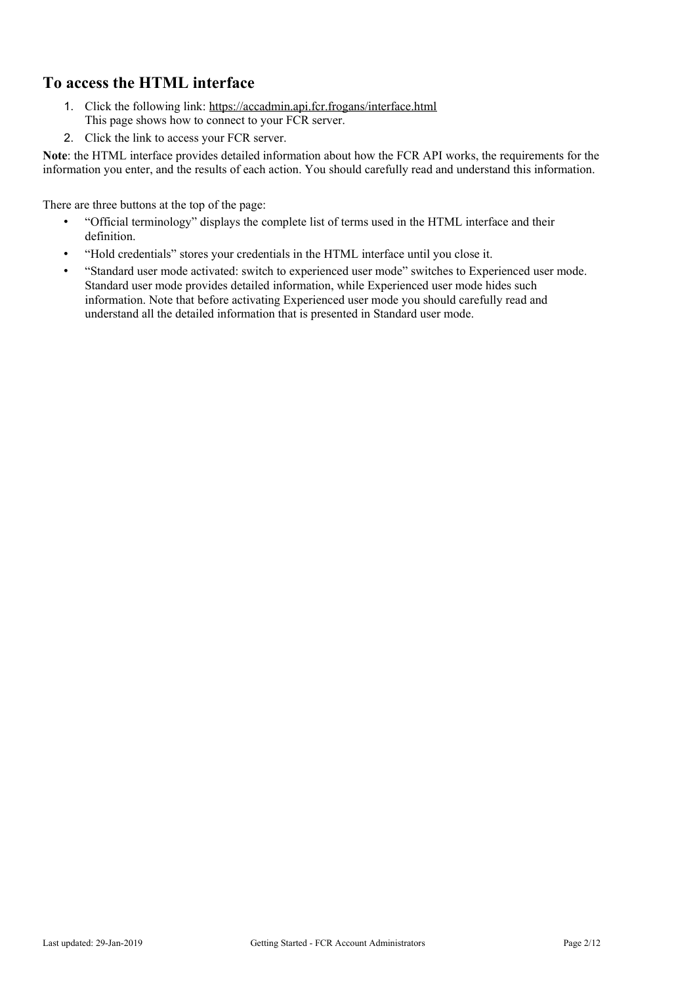# <span id="page-1-0"></span>**To access the HTML interface**

- 1. Click the following link:<https://accadmin.api.fcr.frogans/interface.html> This page shows how to connect to your FCR server.
- 2. Click the link to access your FCR server.

**Note**: the HTML interface provides detailed information about how the FCR API works, the requirements for the information you enter, and the results of each action. You should carefully read and understand this information.

There are three buttons at the top of the page:

- "Official terminology" displays the complete list of terms used in the HTML interface and their definition.
- "Hold credentials" stores your credentials in the HTML interface until you close it.
- "Standard user mode activated: switch to experienced user mode" switches to Experienced user mode. Standard user mode provides detailed information, while Experienced user mode hides such information. Note that before activating Experienced user mode you should carefully read and understand all the detailed information that is presented in Standard user mode.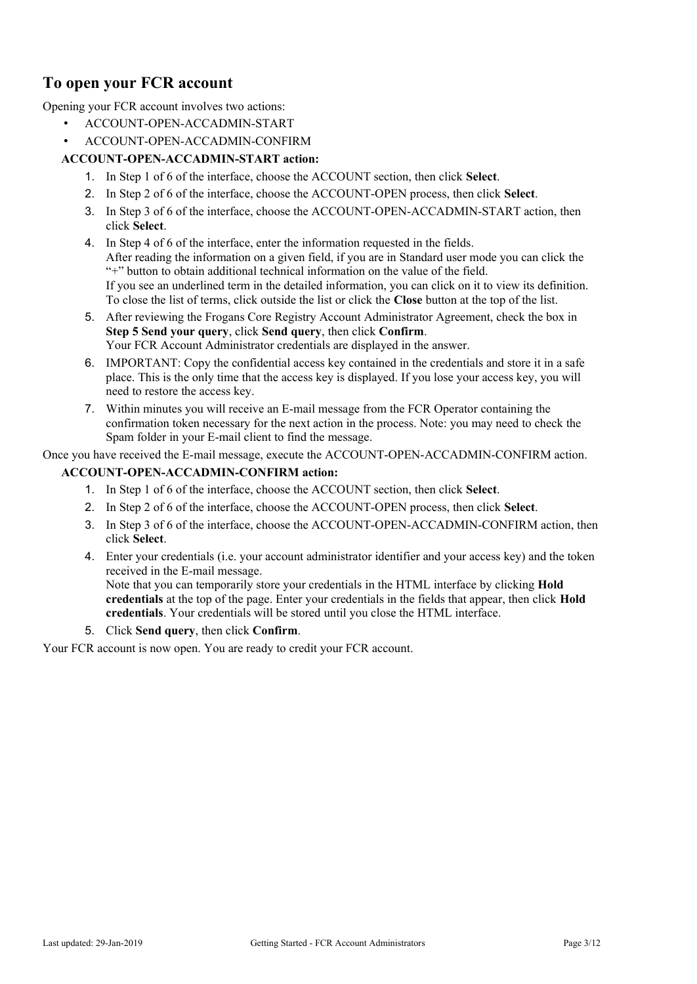# <span id="page-2-0"></span>**To open your FCR account**

Opening your FCR account involves two actions:

- ACCOUNT-OPEN-ACCADMIN-START
- ACCOUNT-OPEN-ACCADMIN-CONFIRM

### **ACCOUNT-OPEN-ACCADMIN-START action:**

- 1. In Step 1 of 6 of the interface, choose the ACCOUNT section, then click **Select**.
- 2. In Step 2 of 6 of the interface, choose the ACCOUNT-OPEN process, then click **Select**.
- 3. In Step 3 of 6 of the interface, choose the ACCOUNT-OPEN-ACCADMIN-START action, then click **Select**.
- 4. In Step 4 of 6 of the interface, enter the information requested in the fields. After reading the information on a given field, if you are in Standard user mode you can click the "+" button to obtain additional technical information on the value of the field. If you see an underlined term in the detailed information, you can click on it to view its definition. To close the list of terms, click outside the list or click the **Close** button at the top of the list.
- 5. After reviewing the Frogans Core Registry Account Administrator Agreement, check the box in **Step 5 Send your query**, click **Send query**, then click **Confirm**. Your FCR Account Administrator credentials are displayed in the answer.
- 6. IMPORTANT: Copy the confidential access key contained in the credentials and store it in a safe place. This is the only time that the access key is displayed. If you lose your access key, you will need to restore the access key.
- 7. Within minutes you will receive an E-mail message from the FCR Operator containing the confirmation token necessary for the next action in the process. Note: you may need to check the Spam folder in your E-mail client to find the message.

Once you have received the E-mail message, execute the ACCOUNT-OPEN-ACCADMIN-CONFIRM action.

#### **ACCOUNT-OPEN-ACCADMIN-CONFIRM action:**

- 1. In Step 1 of 6 of the interface, choose the ACCOUNT section, then click **Select**.
- 2. In Step 2 of 6 of the interface, choose the ACCOUNT-OPEN process, then click **Select**.
- 3. In Step 3 of 6 of the interface, choose the ACCOUNT-OPEN-ACCADMIN-CONFIRM action, then click **Select**.
- 4. Enter your credentials (i.e. your account administrator identifier and your access key) and the token received in the E-mail message. Note that you can temporarily store your credentials in the HTML interface by clicking **Hold credentials** at the top of the page. Enter your credentials in the fields that appear, then click **Hold credentials**. Your credentials will be stored until you close the HTML interface.
- 5. Click **Send query**, then click **Confirm**.

Your FCR account is now open. You are ready to credit your FCR account.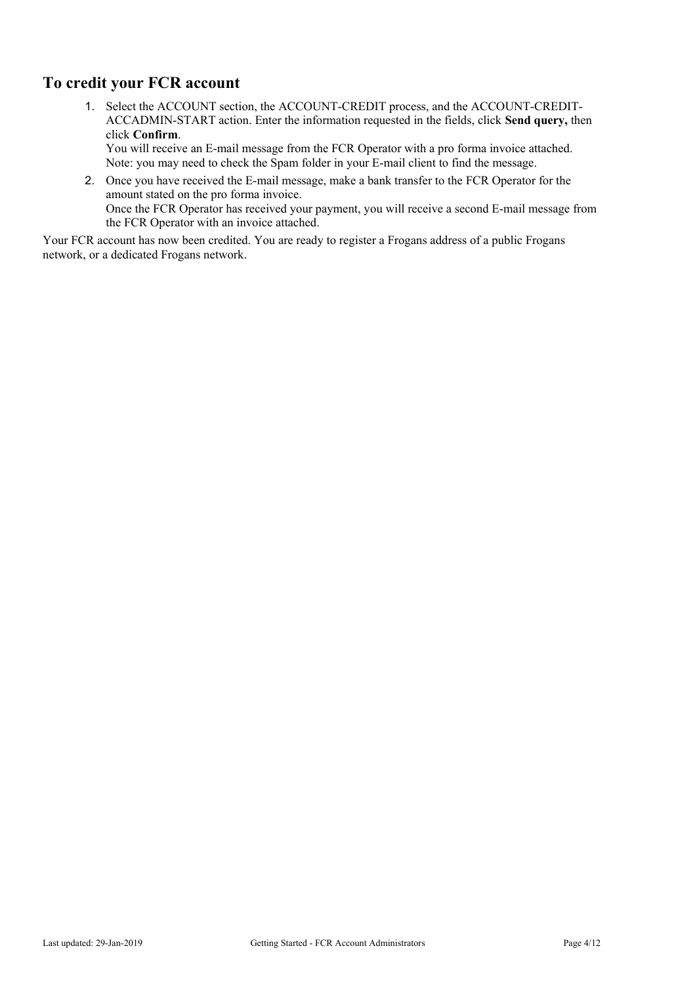# <span id="page-3-0"></span>**To credit your FCR account**

1. Select the ACCOUNT section, the ACCOUNT-CREDIT process, and the ACCOUNT-CREDIT-ACCADMIN-START action. Enter the information requested in the fields, click **Send query,** then click **Confirm**.

You will receive an E-mail message from the FCR Operator with a pro forma invoice attached. Note: you may need to check the Spam folder in your E-mail client to find the message.

2. Once you have received the E-mail message, make a bank transfer to the FCR Operator for the amount stated on the pro forma invoice. Once the FCR Operator has received your payment, you will receive a second E-mail message from the FCR Operator with an invoice attached.

Your FCR account has now been credited. You are ready to register a Frogans address of a public Frogans network, or a dedicated Frogans network.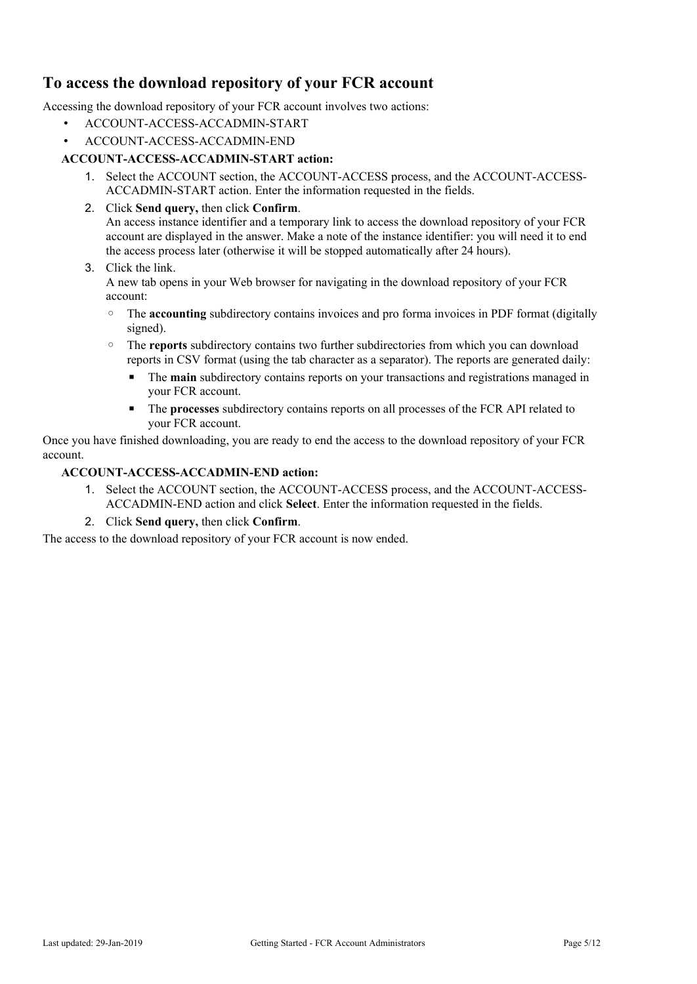# <span id="page-4-0"></span>**To access the download repository of your FCR account**

Accessing the download repository of your FCR account involves two actions:

- ACCOUNT-ACCESS-ACCADMIN-START
- ACCOUNT-ACCESS-ACCADMIN-END

#### **ACCOUNT-ACCESS-ACCADMIN-START action:**

- 1. Select the ACCOUNT section, the ACCOUNT-ACCESS process, and the ACCOUNT-ACCESS-ACCADMIN-START action. Enter the information requested in the fields.
- 2. Click **Send query,** then click **Confirm**. An access instance identifier and a temporary link to access the download repository of your FCR account are displayed in the answer. Make a note of the instance identifier: you will need it to end the access process later (otherwise it will be stopped automatically after 24 hours).

#### 3. Click the link.

A new tab opens in your Web browser for navigating in the download repository of your FCR account:

- The **accounting** subdirectory contains invoices and pro forma invoices in PDF format (digitally signed).
- The **reports** subdirectory contains two further subdirectories from which you can download reports in CSV format (using the tab character as a separator). The reports are generated daily:
	- **•** The **main** subdirectory contains reports on your transactions and registrations managed in your FCR account.
	- The **processes** subdirectory contains reports on all processes of the FCR API related to your FCR account.

Once you have finished downloading, you are ready to end the access to the download repository of your FCR account.

#### **ACCOUNT-ACCESS-ACCADMIN-END action:**

- 1. Select the ACCOUNT section, the ACCOUNT-ACCESS process, and the ACCOUNT-ACCESS-ACCADMIN-END action and click **Select**. Enter the information requested in the fields.
- 2. Click **Send query,** then click **Confirm**.

The access to the download repository of your FCR account is now ended.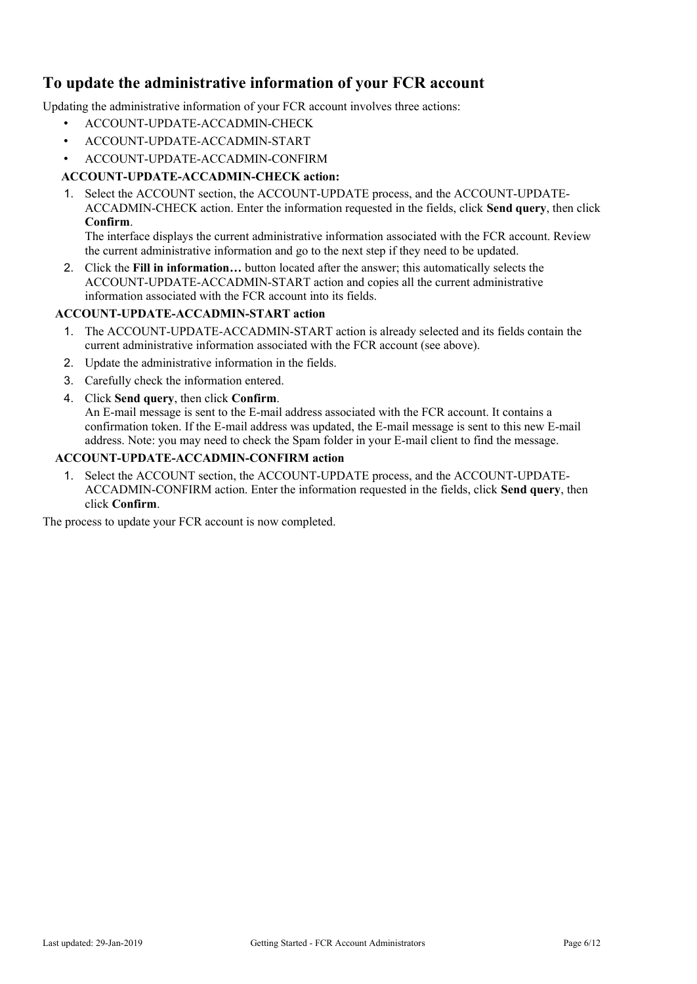# <span id="page-5-0"></span>**To update the administrative information of your FCR account**

Updating the administrative information of your FCR account involves three actions:

- ACCOUNT-UPDATE-ACCADMIN-CHECK
- ACCOUNT-UPDATE-ACCADMIN-START
- ACCOUNT-UPDATE-ACCADMIN-CONFIRM

### **ACCOUNT-UPDATE-ACCADMIN-CHECK action:**

1. Select the ACCOUNT section, the ACCOUNT-UPDATE process, and the ACCOUNT-UPDATE-ACCADMIN-CHECK action. Enter the information requested in the fields, click **Send query**, then click **Confirm**.

The interface displays the current administrative information associated with the FCR account. Review the current administrative information and go to the next step if they need to be updated.

2. Click the **Fill in information…** button located after the answer; this automatically selects the ACCOUNT-UPDATE-ACCADMIN-START action and copies all the current administrative information associated with the FCR account into its fields.

### **ACCOUNT-UPDATE-ACCADMIN-START action**

- 1. The ACCOUNT-UPDATE-ACCADMIN-START action is already selected and its fields contain the current administrative information associated with the FCR account (see above).
- 2. Update the administrative information in the fields.
- 3. Carefully check the information entered.
- 4. Click **Send query**, then click **Confirm**.

An E-mail message is sent to the E-mail address associated with the FCR account. It contains a confirmation token. If the E-mail address was updated, the E-mail message is sent to this new E-mail address. Note: you may need to check the Spam folder in your E-mail client to find the message.

### **ACCOUNT-UPDATE-ACCADMIN-CONFIRM action**

1. Select the ACCOUNT section, the ACCOUNT-UPDATE process, and the ACCOUNT-UPDATE-ACCADMIN-CONFIRM action. Enter the information requested in the fields, click **Send query**, then click **Confirm**.

The process to update your FCR account is now completed.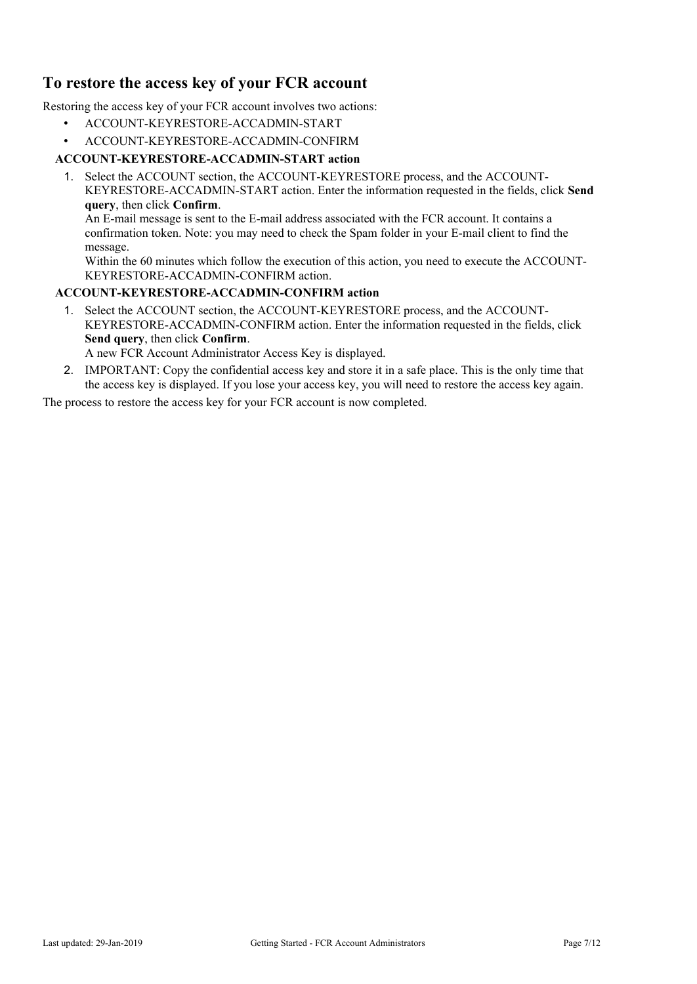# <span id="page-6-0"></span>**To restore the access key of your FCR account**

Restoring the access key of your FCR account involves two actions:

- ACCOUNT-KEYRESTORE-ACCADMIN-START
- ACCOUNT-KEYRESTORE-ACCADMIN-CONFIRM

### **ACCOUNT-KEYRESTORE-ACCADMIN-START action**

1. Select the ACCOUNT section, the ACCOUNT-KEYRESTORE process, and the ACCOUNT-KEYRESTORE-ACCADMIN-START action. Enter the information requested in the fields, click **Send query**, then click **Confirm**.

An E-mail message is sent to the E-mail address associated with the FCR account. It contains a confirmation token. Note: you may need to check the Spam folder in your E-mail client to find the message.

Within the 60 minutes which follow the execution of this action, you need to execute the ACCOUNT-KEYRESTORE-ACCADMIN-CONFIRM action.

#### **ACCOUNT-KEYRESTORE-ACCADMIN-CONFIRM action**

1. Select the ACCOUNT section, the ACCOUNT-KEYRESTORE process, and the ACCOUNT-KEYRESTORE-ACCADMIN-CONFIRM action. Enter the information requested in the fields, click **Send query**, then click **Confirm**.

A new FCR Account Administrator Access Key is displayed.

2. IMPORTANT: Copy the confidential access key and store it in a safe place. This is the only time that the access key is displayed. If you lose your access key, you will need to restore the access key again.

The process to restore the access key for your FCR account is now completed.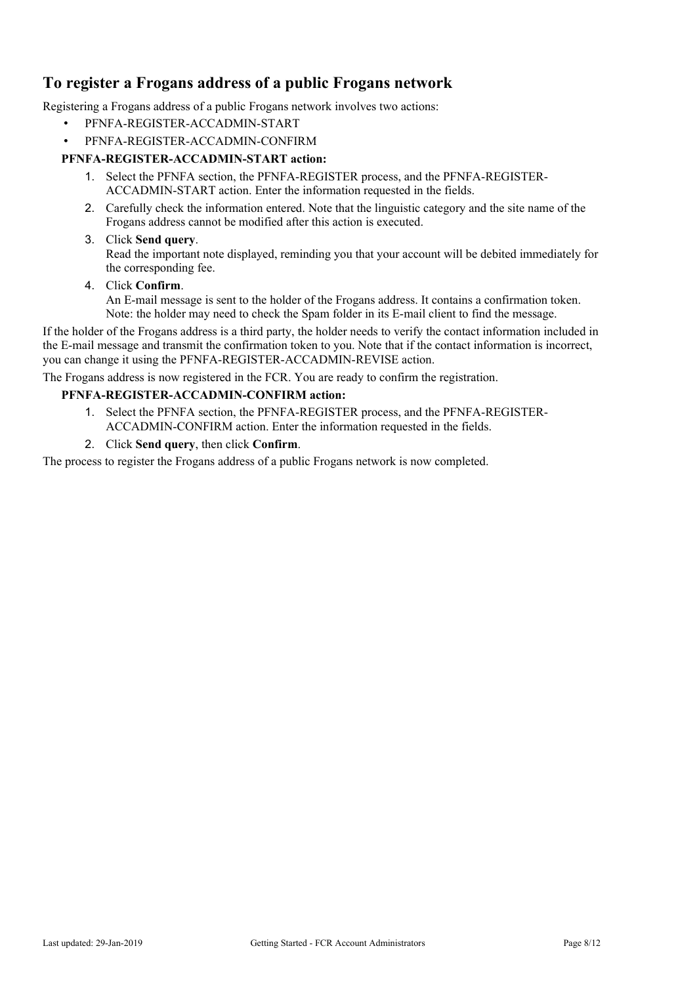# <span id="page-7-0"></span>**To register a Frogans address of a public Frogans network**

Registering a Frogans address of a public Frogans network involves two actions:

- PFNFA-REGISTER-ACCADMIN-START
- PFNFA-REGISTER-ACCADMIN-CONFIRM

### **PFNFA-REGISTER-ACCADMIN-START action:**

- 1. Select the PFNFA section, the PFNFA-REGISTER process, and the PFNFA-REGISTER-ACCADMIN-START action. Enter the information requested in the fields.
- 2. Carefully check the information entered. Note that the linguistic category and the site name of the Frogans address cannot be modified after this action is executed.

#### 3. Click **Send query**.

Read the important note displayed, reminding you that your account will be debited immediately for the corresponding fee.

#### 4. Click **Confirm**.

An E-mail message is sent to the holder of the Frogans address. It contains a confirmation token. Note: the holder may need to check the Spam folder in its E-mail client to find the message.

If the holder of the Frogans address is a third party, the holder needs to verify the contact information included in the E-mail message and transmit the confirmation token to you. Note that if the contact information is incorrect, you can change it using the PFNFA-REGISTER-ACCADMIN-REVISE action.

The Frogans address is now registered in the FCR. You are ready to confirm the registration.

#### **PFNFA-REGISTER-ACCADMIN-CONFIRM action:**

- 1. Select the PFNFA section, the PFNFA-REGISTER process, and the PFNFA-REGISTER-ACCADMIN-CONFIRM action. Enter the information requested in the fields.
- 2. Click **Send query**, then click **Confirm**.

The process to register the Frogans address of a public Frogans network is now completed.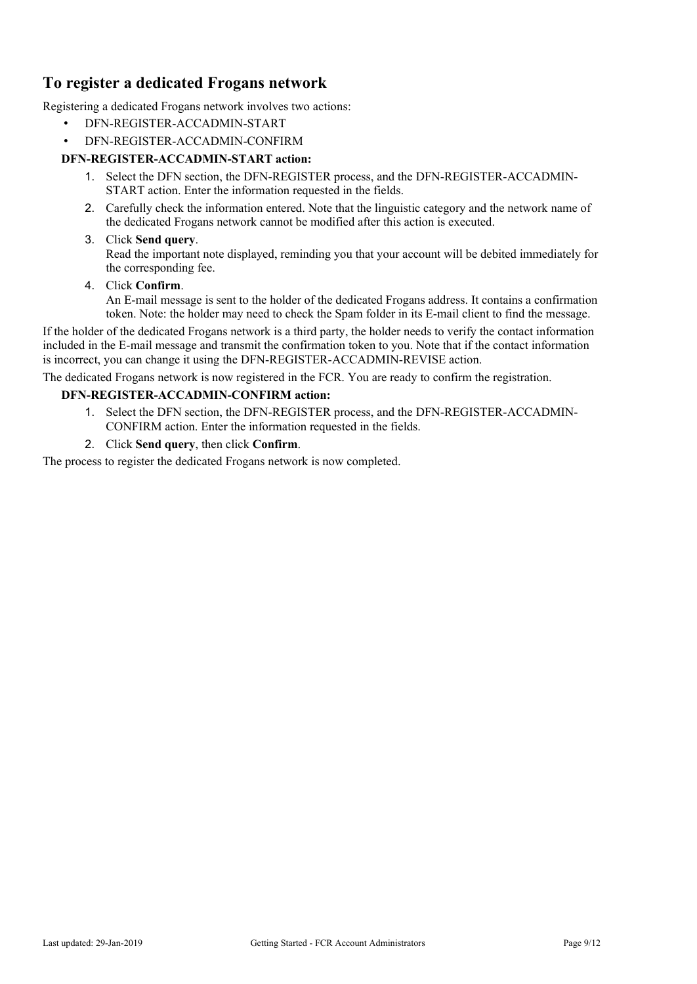# <span id="page-8-0"></span>**To register a dedicated Frogans network**

Registering a dedicated Frogans network involves two actions:

- DFN-REGISTER-ACCADMIN-START
- DFN-REGISTER-ACCADMIN-CONFIRM

### **DFN-REGISTER-ACCADMIN-START action:**

- 1. Select the DFN section, the DFN-REGISTER process, and the DFN-REGISTER-ACCADMIN-START action. Enter the information requested in the fields.
- 2. Carefully check the information entered. Note that the linguistic category and the network name of the dedicated Frogans network cannot be modified after this action is executed.

#### 3. Click **Send query**.

Read the important note displayed, reminding you that your account will be debited immediately for the corresponding fee.

#### 4. Click **Confirm**.

An E-mail message is sent to the holder of the dedicated Frogans address. It contains a confirmation token. Note: the holder may need to check the Spam folder in its E-mail client to find the message.

If the holder of the dedicated Frogans network is a third party, the holder needs to verify the contact information included in the E-mail message and transmit the confirmation token to you. Note that if the contact information is incorrect, you can change it using the DFN-REGISTER-ACCADMIN-REVISE action.

The dedicated Frogans network is now registered in the FCR. You are ready to confirm the registration.

#### **DFN-REGISTER-ACCADMIN-CONFIRM action:**

- 1. Select the DFN section, the DFN-REGISTER process, and the DFN-REGISTER-ACCADMIN-CONFIRM action. Enter the information requested in the fields.
- 2. Click **Send query**, then click **Confirm**.

The process to register the dedicated Frogans network is now completed.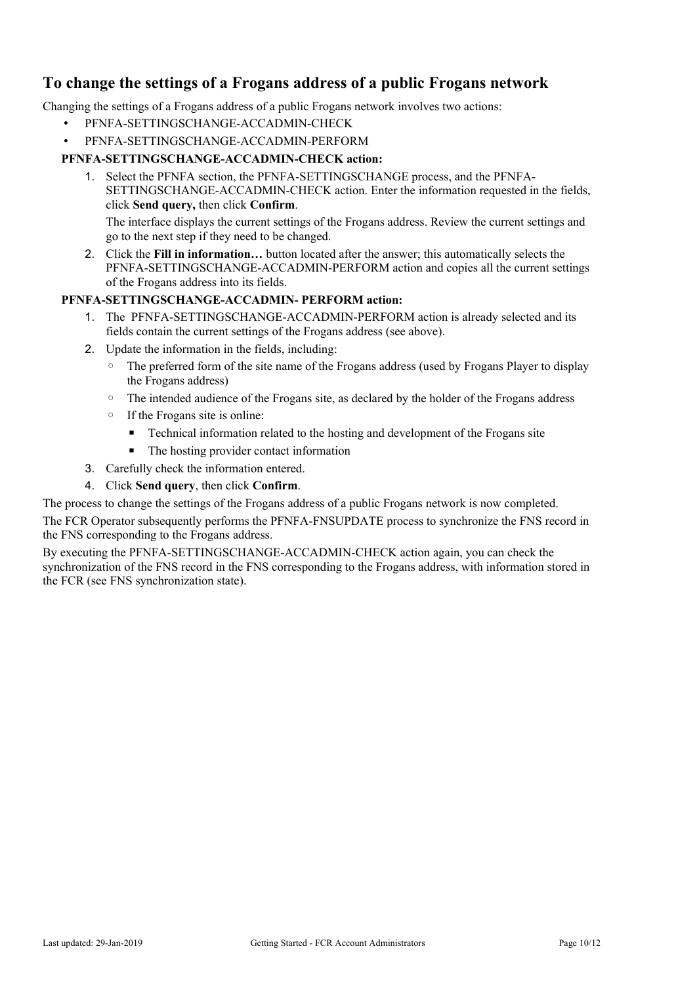# <span id="page-9-0"></span>**To change the settings of a Frogans address of a public Frogans network**

Changing the settings of a Frogans address of a public Frogans network involves two actions:

- PFNFA-SETTINGSCHANGE-ACCADMIN-CHECK
- PFNFA-SETTINGSCHANGE-ACCADMIN-PERFORM

### **PFNFA-SETTINGSCHANGE-ACCADMIN-CHECK action:**

1. Select the PFNFA section, the PFNFA-SETTINGSCHANGE process, and the PFNFA-SETTINGSCHANGE-ACCADMIN-CHECK action. Enter the information requested in the fields, click **Send query,** then click **Confirm**.

The interface displays the current settings of the Frogans address. Review the current settings and go to the next step if they need to be changed.

2. Click the **Fill in information…** button located after the answer; this automatically selects the PFNFA-SETTINGSCHANGE-ACCADMIN-PERFORM action and copies all the current settings of the Frogans address into its fields.

#### **PFNFA-SETTINGSCHANGE-ACCADMIN- PERFORM action:**

- 1. The PFNFA-SETTINGSCHANGE-ACCADMIN-PERFORM action is already selected and its fields contain the current settings of the Frogans address (see above).
- 2. Update the information in the fields, including:
	- The preferred form of the site name of the Frogans address (used by Frogans Player to display the Frogans address)
	- The intended audience of the Frogans site, as declared by the holder of the Frogans address
	- If the Frogans site is online:
		- **•** Technical information related to the hosting and development of the Frogans site
		- The hosting provider contact information
- 3. Carefully check the information entered.
- 4. Click **Send query**, then click **Confirm**.

The process to change the settings of the Frogans address of a public Frogans network is now completed.

The FCR Operator subsequently performs the PFNFA-FNSUPDATE process to synchronize the FNS record in the FNS corresponding to the Frogans address.

By executing the PFNFA-SETTINGSCHANGE-ACCADMIN-CHECK action again, you can check the synchronization of the FNS record in the FNS corresponding to the Frogans address, with information stored in the FCR (see FNS synchronization state).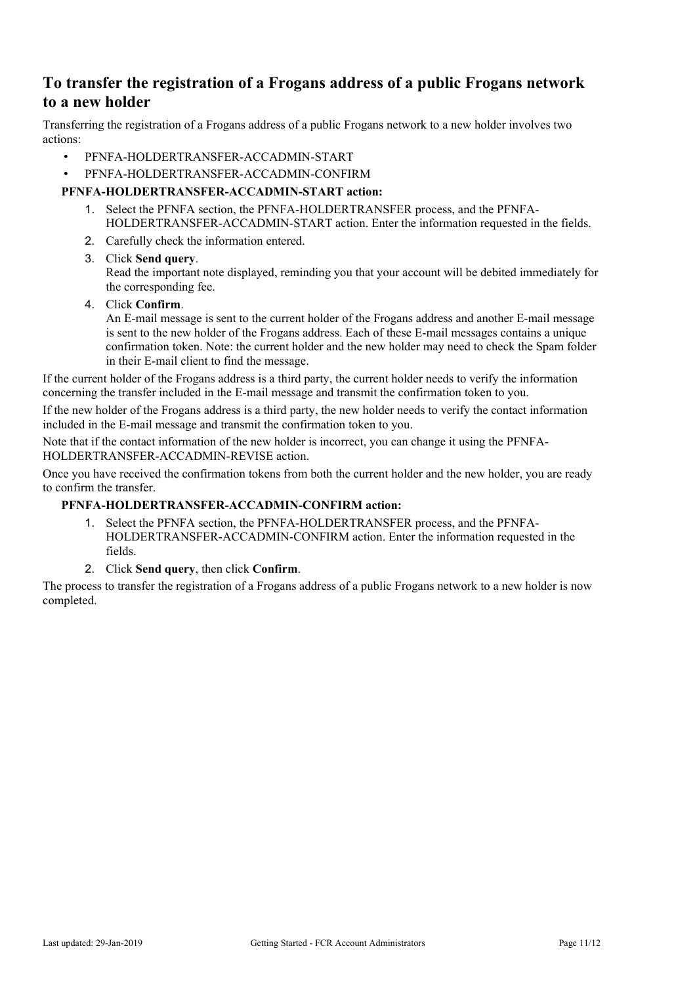# <span id="page-10-0"></span>**To transfer the registration of a Frogans address of a public Frogans network to a new holder**

Transferring the registration of a Frogans address of a public Frogans network to a new holder involves two actions:

- PFNFA-HOLDERTRANSFER-ACCADMIN-START
- PFNFA-HOLDERTRANSFER-ACCADMIN-CONFIRM

#### **PFNFA-HOLDERTRANSFER-ACCADMIN-START action:**

- 1. Select the PFNFA section, the PFNFA-HOLDERTRANSFER process, and the PFNFA-HOLDERTRANSFER-ACCADMIN-START action. Enter the information requested in the fields.
- 2. Carefully check the information entered.
- 3. Click **Send query**.

Read the important note displayed, reminding you that your account will be debited immediately for the corresponding fee.

4. Click **Confirm**.

An E-mail message is sent to the current holder of the Frogans address and another E-mail message is sent to the new holder of the Frogans address. Each of these E-mail messages contains a unique confirmation token. Note: the current holder and the new holder may need to check the Spam folder in their E-mail client to find the message.

If the current holder of the Frogans address is a third party, the current holder needs to verify the information concerning the transfer included in the E-mail message and transmit the confirmation token to you.

If the new holder of the Frogans address is a third party, the new holder needs to verify the contact information included in the E-mail message and transmit the confirmation token to you.

Note that if the contact information of the new holder is incorrect, you can change it using the PFNFA-HOLDERTRANSFER-ACCADMIN-REVISE action.

Once you have received the confirmation tokens from both the current holder and the new holder, you are ready to confirm the transfer.

### **PFNFA-HOLDERTRANSFER-ACCADMIN-CONFIRM action:**

- 1. Select the PFNFA section, the PFNFA-HOLDERTRANSFER process, and the PFNFA-HOLDERTRANSFER-ACCADMIN-CONFIRM action. Enter the information requested in the fields.
- 2. Click **Send query**, then click **Confirm**.

The process to transfer the registration of a Frogans address of a public Frogans network to a new holder is now completed.